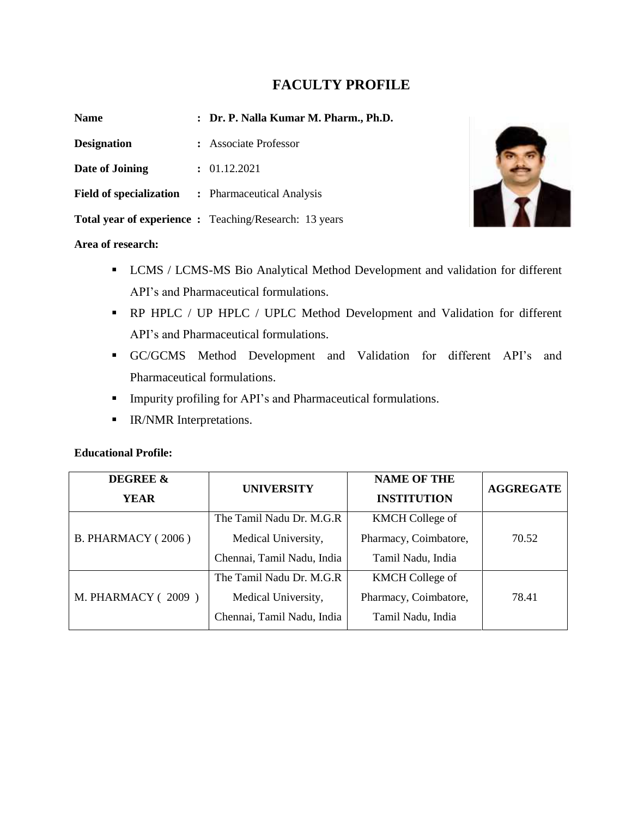# **FACULTY PROFILE**

| <b>Name</b>                    | : Dr. P. Nalla Kumar M. Pharm., Ph.D.                         |
|--------------------------------|---------------------------------------------------------------|
| <b>Designation</b>             | : Associate Professor                                         |
| Date of Joining                | : 01.12.2021                                                  |
| <b>Field of specialization</b> | : Pharmaceutical Analysis                                     |
|                                | <b>Total year of experience :</b> Teaching/Research: 13 years |



### **Area of research:**

- **EXECUTE:** LCMS / LCMS-MS Bio Analytical Method Development and validation for different API's and Pharmaceutical formulations.
- RP HPLC / UP HPLC / UPLC Method Development and Validation for different API's and Pharmaceutical formulations.
- GC/GCMS Method Development and Validation for different API's and Pharmaceutical formulations.
- Impurity profiling for API's and Pharmaceutical formulations.
- **■** IR/NMR Interpretations.

### **Educational Profile:**

| <b>DEGREE &amp;</b><br>YEAR | <b>UNIVERSITY</b>                                                             |                                                                      | <b>AGGREGATE</b> |
|-----------------------------|-------------------------------------------------------------------------------|----------------------------------------------------------------------|------------------|
| <b>B. PHARMACY (2006)</b>   | The Tamil Nadu Dr. M.G.R<br>Medical University,<br>Chennai, Tamil Nadu, India | <b>KMCH</b> College of<br>Pharmacy, Coimbatore,<br>Tamil Nadu, India | 70.52            |
| <b>M. PHARMACY (2009)</b>   | The Tamil Nadu Dr. M.G.R<br>Medical University,<br>Chennai, Tamil Nadu, India | <b>KMCH</b> College of<br>Pharmacy, Coimbatore,<br>Tamil Nadu, India | 78.41            |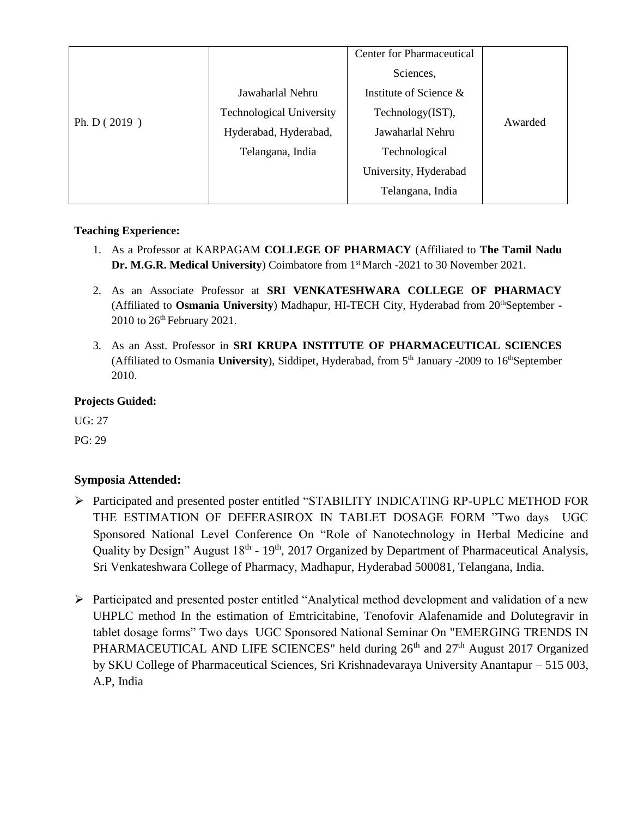|                |                                 | <b>Center for Pharmaceutical</b> |         |
|----------------|---------------------------------|----------------------------------|---------|
| Ph. D $(2019)$ |                                 | Sciences,                        |         |
|                | Jawaharlal Nehru                | Institute of Science $\&$        |         |
|                | <b>Technological University</b> | Technology(IST),                 |         |
|                | Hyderabad, Hyderabad,           | Jawaharlal Nehru                 | Awarded |
|                | Telangana, India                | Technological                    |         |
|                |                                 | University, Hyderabad            |         |
|                |                                 | Telangana, India                 |         |
|                |                                 |                                  |         |

# **Teaching Experience:**

- 1. As a Professor at KARPAGAM **COLLEGE OF PHARMACY** (Affiliated to **The Tamil Nadu Dr. M.G.R. Medical University**) Coimbatore from 1<sup>st</sup> March -2021 to 30 November 2021.
- 2. As an Associate Professor at **SRI VENKATESHWARA COLLEGE OF PHARMACY**  (Affiliated to **Osmania University**) Madhapur, HI-TECH City, Hyderabad from 20<sup>th</sup>September -2010 to 26<sup>th</sup> February 2021.
- 3. As an Asst. Professor in **SRI KRUPA INSTITUTE OF PHARMACEUTICAL SCIENCES**  (Affiliated to Osmania University), Siddipet, Hyderabad, from 5<sup>th</sup> January -2009 to 16<sup>th</sup>September 2010.

# **Projects Guided:**

UG: 27

PG: 29

# **Symposia Attended:**

- ➢ Participated and presented poster entitled "STABILITY INDICATING RP-UPLC METHOD FOR THE ESTIMATION OF DEFERASIROX IN TABLET DOSAGE FORM "Two days UGC Sponsored National Level Conference On "Role of Nanotechnology in Herbal Medicine and Quality by Design" August 18<sup>th</sup> - 19<sup>th</sup>, 2017 Organized by Department of Pharmaceutical Analysis, Sri Venkateshwara College of Pharmacy, Madhapur, Hyderabad 500081, Telangana, India.
- ➢ Participated and presented poster entitled "Analytical method development and validation of a new UHPLC method In the estimation of Emtricitabine, Tenofovir Alafenamide and Dolutegravir in tablet dosage forms" Two days UGC Sponsored National Seminar On "EMERGING TRENDS IN PHARMACEUTICAL AND LIFE SCIENCES" held during 26<sup>th</sup> and 27<sup>th</sup> August 2017 Organized by SKU College of Pharmaceutical Sciences, Sri Krishnadevaraya University Anantapur – 515 003, A.P, India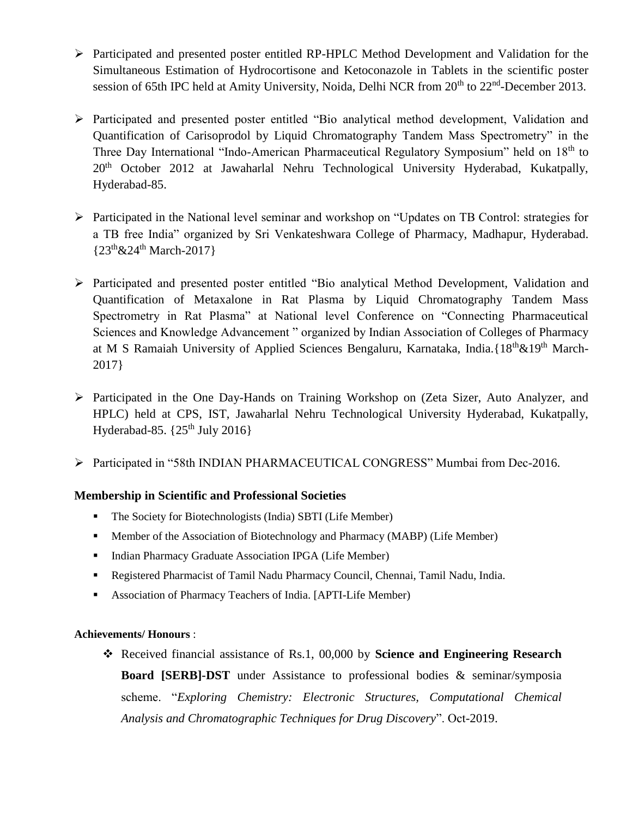- ➢ Participated and presented poster entitled RP-HPLC Method Development and Validation for the Simultaneous Estimation of Hydrocortisone and Ketoconazole in Tablets in the scientific poster session of 65th IPC held at Amity University, Noida, Delhi NCR from 20<sup>th</sup> to 22<sup>nd</sup>-December 2013.
- ➢ Participated and presented poster entitled "Bio analytical method development, Validation and Quantification of Carisoprodol by Liquid Chromatography Tandem Mass Spectrometry" in the Three Day International "Indo-American Pharmaceutical Regulatory Symposium" held on  $18<sup>th</sup>$  to 20<sup>th</sup> October 2012 at Jawaharlal Nehru Technological University Hyderabad, Kukatpally, Hyderabad-85.
- ➢ Participated in the National level seminar and workshop on "Updates on TB Control: strategies for a TB free India" organized by Sri Venkateshwara College of Pharmacy, Madhapur, Hyderabad.  $\{23^{th}\&24^{th} March-2017\}$
- ➢ Participated and presented poster entitled "Bio analytical Method Development, Validation and Quantification of Metaxalone in Rat Plasma by Liquid Chromatography Tandem Mass Spectrometry in Rat Plasma" at National level Conference on "Connecting Pharmaceutical Sciences and Knowledge Advancement " organized by Indian Association of Colleges of Pharmacy at M S Ramaiah University of Applied Sciences Bengaluru, Karnataka, India. {18<sup>th</sup> & 19<sup>th</sup> March-2017}
- ➢ Participated in the One Day-Hands on Training Workshop on (Zeta Sizer, Auto Analyzer, and HPLC) held at CPS, IST, Jawaharlal Nehru Technological University Hyderabad, Kukatpally, Hyderabad-85.  $\{25^{th}$  July 2016}
- ➢ Participated in "58th INDIAN PHARMACEUTICAL CONGRESS" Mumbai from Dec-2016.

# **Membership in Scientific and Professional Societies**

- The Society for Biotechnologists (India) SBTI (Life Member)
- **•** Member of the Association of Biotechnology and Pharmacy (MABP) (Life Member)
- **•** Indian Pharmacy Graduate Association IPGA (Life Member)
- Registered Pharmacist of Tamil Nadu Pharmacy Council, Chennai, Tamil Nadu, India.
- Association of Pharmacy Teachers of India. [APTI-Life Member)

# **Achievements/ Honours** :

❖ Received financial assistance of Rs.1, 00,000 by **Science and Engineering Research Board [SERB]-DST** under Assistance to professional bodies & seminar/symposia scheme. "*Exploring Chemistry: Electronic Structures, Computational Chemical Analysis and Chromatographic Techniques for Drug Discovery*". Oct-2019.